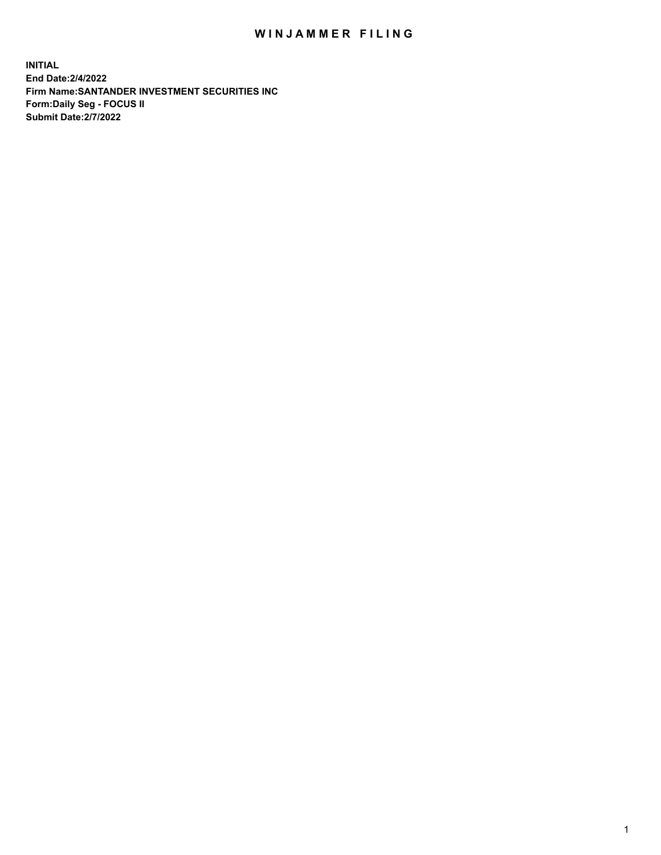## WIN JAMMER FILING

**INITIAL End Date:2/4/2022 Firm Name:SANTANDER INVESTMENT SECURITIES INC Form:Daily Seg - FOCUS II Submit Date:2/7/2022**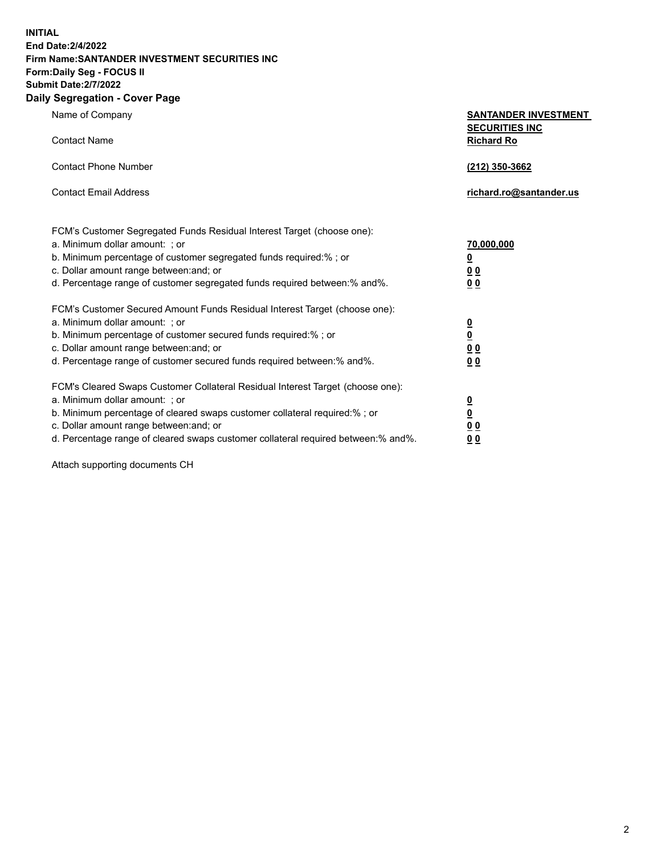**INITIAL End Date:2/4/2022 Firm Name:SANTANDER INVESTMENT SECURITIES INC Form:Daily Seg - FOCUS II Submit Date:2/7/2022**

## **Daily Segregation - Cover Page**

| <b>SANTANDER INVESTMENT</b> |
|-----------------------------|
| <b>SECURITIES INC</b>       |
| <b>Richard Ro</b>           |
|                             |

| Contact Phone Number  | (212) 350-3662          |
|-----------------------|-------------------------|
| Contact Email Address | richard.ro@santander.us |

| FCM's Customer Segregated Funds Residual Interest Target (choose one):<br>a. Minimum dollar amount: ; or<br>b. Minimum percentage of customer segregated funds required:%; or<br>c. Dollar amount range between: and; or<br>d. Percentage range of customer segregated funds required between: % and %.                        | 70,000,000<br>$\overline{\mathbf{0}}$<br>0 <sub>0</sub><br>0 <sub>0</sub>  |
|--------------------------------------------------------------------------------------------------------------------------------------------------------------------------------------------------------------------------------------------------------------------------------------------------------------------------------|----------------------------------------------------------------------------|
| FCM's Customer Secured Amount Funds Residual Interest Target (choose one):<br>a. Minimum dollar amount: ; or<br>b. Minimum percentage of customer secured funds required:%; or<br>c. Dollar amount range between: and; or<br>d. Percentage range of customer secured funds required between: % and %.                          | <u>0</u><br>$\underline{\mathbf{0}}$<br>0 <sub>0</sub><br>0 <sub>0</sub>   |
| FCM's Cleared Swaps Customer Collateral Residual Interest Target (choose one):<br>a. Minimum dollar amount: ; or<br>b. Minimum percentage of cleared swaps customer collateral required:% ; or<br>c. Dollar amount range between: and; or<br>d. Percentage range of cleared swaps customer collateral required between:% and%. | $\overline{\mathbf{0}}$<br>$\overline{\mathbf{0}}$<br>0 <sub>0</sub><br>00 |

Attach supporting documents CH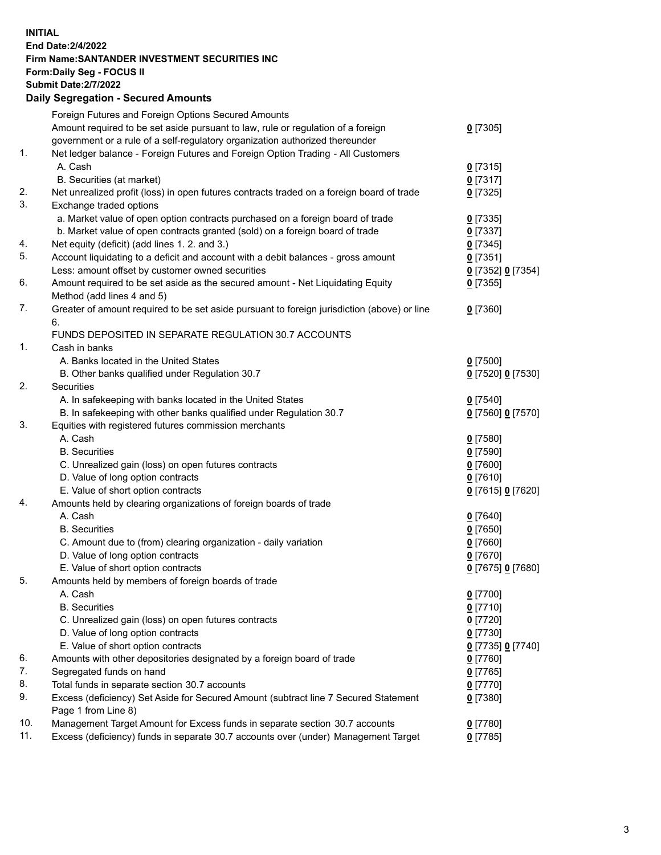## **INITIAL End Date:2/4/2022 Firm Name:SANTANDER INVESTMENT SECURITIES INC Form:Daily Seg - FOCUS II Submit Date:2/7/2022 Daily Segregation - Secured Amounts** Foreign Futures and Foreign Options Secured Amounts Amount required to be set aside pursuant to law, rule or regulation of a foreign government or a rule of a self-regulatory organization authorized thereunder **0** [7305] 1. Net ledger balance - Foreign Futures and Foreign Option Trading - All Customers A. Cash **0** [7315] B. Securities (at market) **0** [7317] 2. Net unrealized profit (loss) in open futures contracts traded on a foreign board of trade **0** [7325] 3. Exchange traded options a. Market value of open option contracts purchased on a foreign board of trade **0** [7335] b. Market value of open contracts granted (sold) on a foreign board of trade **0** [7337] 4. Net equity (deficit) (add lines 1. 2. and 3.) **0** [7345] 5. Account liquidating to a deficit and account with a debit balances - gross amount **0** [7351] Less: amount offset by customer owned securities **0** [7352] **0** [7354] 6. Amount required to be set aside as the secured amount - Net Liquidating Equity Method (add lines 4 and 5) **0** [7355] 7. Greater of amount required to be set aside pursuant to foreign jurisdiction (above) or line 6. **0** [7360] FUNDS DEPOSITED IN SEPARATE REGULATION 30.7 ACCOUNTS 1. Cash in banks A. Banks located in the United States **0** [7500] B. Other banks qualified under Regulation 30.7 **0** [7520] **0** [7530] 2. Securities A. In safekeeping with banks located in the United States **0** [7540] B. In safekeeping with other banks qualified under Regulation 30.7 **0** [7560] **0** [7570] 3. Equities with registered futures commission merchants A. Cash **0** [7580] B. Securities **0** [7590] C. Unrealized gain (loss) on open futures contracts **0** [7600] D. Value of long option contracts **0** [7610] E. Value of short option contracts **0** [7615] **0** [7620] 4. Amounts held by clearing organizations of foreign boards of trade A. Cash **0** [7640] B. Securities **0** [7650] C. Amount due to (from) clearing organization - daily variation **0** [7660] D. Value of long option contracts **0** [7670] E. Value of short option contracts **0** [7675] **0** [7680] 5. Amounts held by members of foreign boards of trade A. Cash **0** [7700] B. Securities **0** [7710] C. Unrealized gain (loss) on open futures contracts **0** [7720] D. Value of long option contracts **0** [7730] E. Value of short option contracts **0** [7735] **0** [7740] 6. Amounts with other depositories designated by a foreign board of trade **0** [7760] 7. Segregated funds on hand **0** [7765] 8. Total funds in separate section 30.7 accounts **0** [7770]

9. Excess (deficiency) Set Aside for Secured Amount (subtract line 7 Secured Statement Page 1 from Line 8) **0** [7380] 10. Management Target Amount for Excess funds in separate section 30.7 accounts **0** [7780]

11. Excess (deficiency) funds in separate 30.7 accounts over (under) Management Target **0** [7785]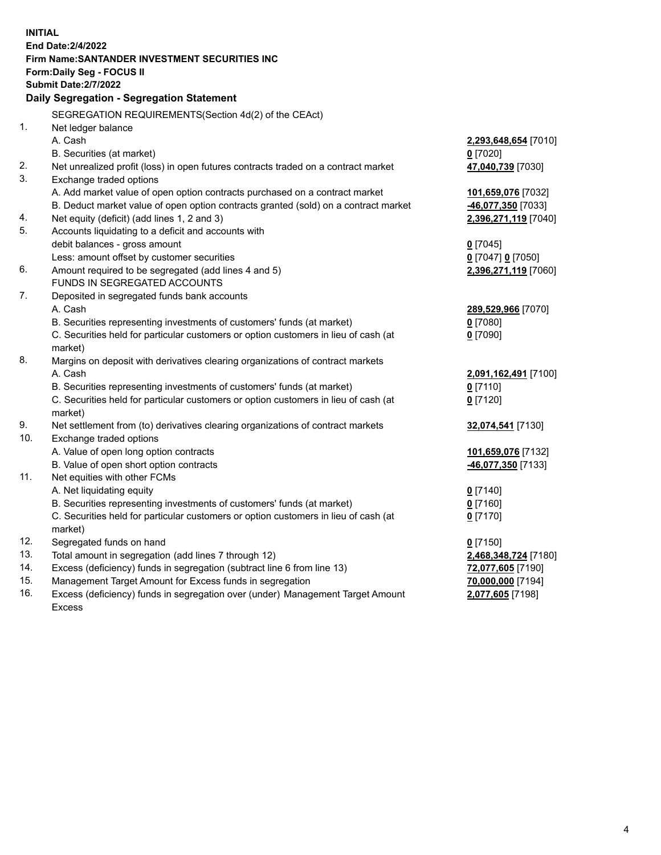| <b>INITIAL</b>                  | End Date: 2/4/2022<br><b>Firm Name: SANTANDER INVESTMENT SECURITIES INC</b><br>Form: Daily Seg - FOCUS II<br><b>Submit Date: 2/7/2022</b><br>Daily Segregation - Segregation Statement                                                                                                                                     |                                                                                                  |
|---------------------------------|----------------------------------------------------------------------------------------------------------------------------------------------------------------------------------------------------------------------------------------------------------------------------------------------------------------------------|--------------------------------------------------------------------------------------------------|
| 1.                              | SEGREGATION REQUIREMENTS(Section 4d(2) of the CEAct)<br>Net ledger balance                                                                                                                                                                                                                                                 |                                                                                                  |
|                                 | A. Cash<br>B. Securities (at market)                                                                                                                                                                                                                                                                                       | 2,293,648,654 [7010]<br>$0$ [7020]                                                               |
| 2.<br>3.                        | Net unrealized profit (loss) in open futures contracts traded on a contract market<br>Exchange traded options                                                                                                                                                                                                              | 47,040,739 [7030]                                                                                |
|                                 | A. Add market value of open option contracts purchased on a contract market                                                                                                                                                                                                                                                | 101,659,076 [7032]                                                                               |
| 4.                              | B. Deduct market value of open option contracts granted (sold) on a contract market<br>Net equity (deficit) (add lines 1, 2 and 3)                                                                                                                                                                                         | <u>-46,077,350</u> [7033]<br>2,396,271,119 [7040]                                                |
| 5.                              | Accounts liquidating to a deficit and accounts with<br>debit balances - gross amount                                                                                                                                                                                                                                       | $0$ [7045]                                                                                       |
| 6.                              | Less: amount offset by customer securities<br>Amount required to be segregated (add lines 4 and 5)                                                                                                                                                                                                                         | 0 [7047] 0 [7050]<br>2,396,271,119 [7060]                                                        |
| 7.                              | FUNDS IN SEGREGATED ACCOUNTS<br>Deposited in segregated funds bank accounts                                                                                                                                                                                                                                                |                                                                                                  |
|                                 | A. Cash<br>B. Securities representing investments of customers' funds (at market)<br>C. Securities held for particular customers or option customers in lieu of cash (at<br>market)                                                                                                                                        | 289,529,966 [7070]<br>$0$ [7080]<br>$0$ [7090]                                                   |
| 8.                              | Margins on deposit with derivatives clearing organizations of contract markets<br>A. Cash                                                                                                                                                                                                                                  | 2,091,162,491 [7100]                                                                             |
|                                 | B. Securities representing investments of customers' funds (at market)<br>C. Securities held for particular customers or option customers in lieu of cash (at<br>market)                                                                                                                                                   | $0$ [7110]<br>$0$ [7120]                                                                         |
| 9.<br>10.                       | Net settlement from (to) derivatives clearing organizations of contract markets<br>Exchange traded options                                                                                                                                                                                                                 | 32,074,541 [7130]                                                                                |
| 11.                             | A. Value of open long option contracts<br>B. Value of open short option contracts<br>Net equities with other FCMs                                                                                                                                                                                                          | 101,659,076 [7132]<br>46,077,350 [7133]                                                          |
|                                 | A. Net liquidating equity<br>B. Securities representing investments of customers' funds (at market)<br>C. Securities held for particular customers or option customers in lieu of cash (at<br>market)                                                                                                                      | $0$ [7140]<br>$0$ [7160]<br>$0$ [7170]                                                           |
| 12.<br>13.<br>14.<br>15.<br>16. | Segregated funds on hand<br>Total amount in segregation (add lines 7 through 12)<br>Excess (deficiency) funds in segregation (subtract line 6 from line 13)<br>Management Target Amount for Excess funds in segregation<br>Excess (deficiency) funds in segregation over (under) Management Target Amount<br><b>Excess</b> | $0$ [7150]<br>2,468,348,724 [7180]<br>72,077,605 [7190]<br>70,000,000 [7194]<br>2,077,605 [7198] |